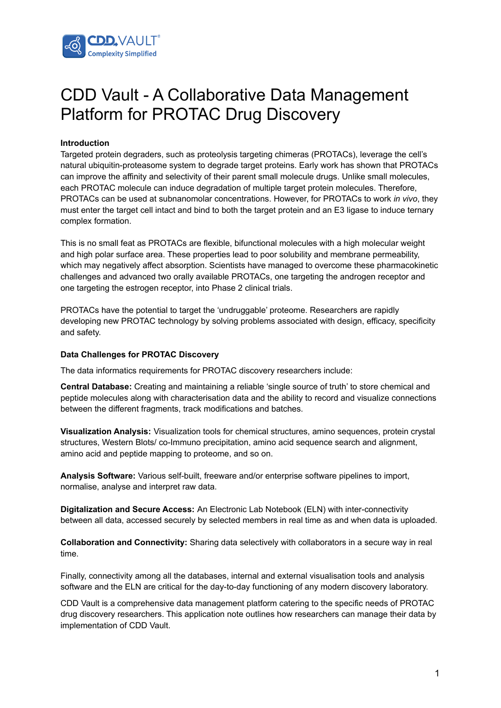

# CDD Vault - A Collaborative Data Management Platform for PROTAC Drug Discovery

# **Introduction**

Targeted protein degraders, such as proteolysis targeting chimeras (PROTACs), leverage the cell's natural ubiquitin-proteasome system to degrade target proteins. Early work has shown that PROTACs can improve the affinity and selectivity of their parent small molecule drugs. Unlike small molecules, each PROTAC molecule can induce degradation of multiple target protein molecules. Therefore, PROTACs can be used at subnanomolar concentrations. However, for PROTACs to work *in vivo*, they must enter the target cell intact and bind to both the target protein and an E3 ligase to induce ternary complex formation.

This is no small feat as PROTACs are flexible, bifunctional molecules with a high molecular weight and high polar surface area. These properties lead to poor solubility and membrane permeability, which may negatively affect absorption. Scientists have managed to overcome these pharmacokinetic challenges and advanced two orally available PROTACs, one targeting the androgen receptor and one targeting the estrogen receptor, into Phase 2 clinical trials.

PROTACs have the potential to target the 'undruggable' proteome. Researchers are rapidly developing new PROTAC technology by solving problems associated with design, efficacy, specificity and safety.

## **Data Challenges for PROTAC Discovery**

The data informatics requirements for PROTAC discovery researchers include:

**Central Database:** Creating and maintaining a reliable 'single source of truth' to store chemical and peptide molecules along with characterisation data and the ability to record and visualize connections between the different fragments, track modifications and batches.

**Visualization Analysis:** Visualization tools for chemical structures, amino sequences, protein crystal structures, Western Blots/ co-Immuno precipitation, amino acid sequence search and alignment, amino acid and peptide mapping to proteome, and so on.

**Analysis Software:** Various self-built, freeware and/or enterprise software pipelines to import, normalise, analyse and interpret raw data.

**Digitalization and Secure Access:** An Electronic Lab Notebook (ELN) with inter-connectivity between all data, accessed securely by selected members in real time as and when data is uploaded.

**Collaboration and Connectivity:** Sharing data selectively with collaborators in a secure way in real time.

Finally, connectivity among all the databases, internal and external visualisation tools and analysis software and the ELN are critical for the day-to-day functioning of any modern discovery laboratory.

CDD Vault is a comprehensive data management platform catering to the specific needs of PROTAC drug discovery researchers. This application note outlines how researchers can manage their data by implementation of CDD Vault.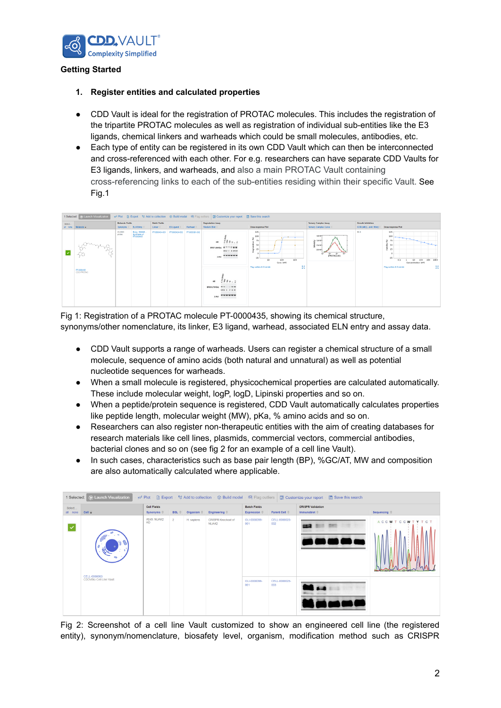

# **Getting Started**

- **1. Register entities and calculated properties**
- CDD Vault is ideal for the registration of PROTAC molecules. This includes the registration of the tripartite PROTAC molecules as well as registration of individual sub-entities like the E3 ligands, chemical linkers and warheads which could be small molecules, antibodies, etc.
- Each type of entity can be registered in its own CDD Vault which can then be interconnected and cross-referenced with each other. For e.g. researchers can have separate CDD Vaults for E3 ligands, linkers, and warheads, and also a main PROTAC Vault containing cross-referencing links to each of the sub-entities residing within their specific Vault. See Fig.1



Fig 1: Registration of a PROTAC molecule PT-0000435, showing its chemical structure, synonyms/other nomenclature, its linker, E3 ligand, warhead, associated ELN entry and assay data.

- CDD Vault supports a range of warheads. Users can register a chemical structure of a small molecule, sequence of amino acids (both natural and unnatural) as well as potential nucleotide sequences for warheads.
- When a small molecule is registered, physicochemical properties are calculated automatically. These include molecular weight, logP, logD, Lipinski properties and so on.
- When a peptide/protein sequence is registered, CDD Vault automatically calculates properties like peptide length, molecular weight (MW), pKa, % amino acids and so on.
- Researchers can also register non-therapeutic entities with the aim of creating databases for research materials like cell lines, plasmids, commercial vectors, commercial antibodies, bacterial clones and so on (see fig 2 for an example of a cell line Vault).
- In such cases, characteristics such as base pair length (BP), %GC/AT, MW and composition are also automatically calculated where applicable.



Fig 2: Screenshot of a cell line Vault customized to show an engineered cell line (the registered entity), synonym/nomenclature, biosafety level, organism, modification method such as CRISPR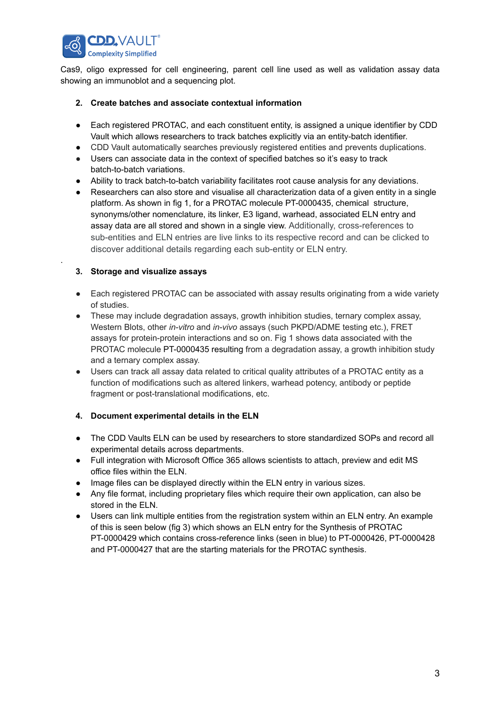

Cas9, oligo expressed for cell engineering, parent cell line used as well as validation assay data showing an immunoblot and a sequencing plot.

# **2. Create batches and associate contextual information**

- Each registered PROTAC, and each constituent entity, is assigned a unique identifier by CDD Vault which allows researchers to track batches explicitly via an entity-batch identifier.
- CDD Vault automatically searches previously registered entities and prevents duplications.
- Users can associate data in the context of specified batches so it's easy to track batch-to-batch variations.
- Ability to track batch-to-batch variability facilitates root cause analysis for any deviations.
- Researchers can also store and visualise all characterization data of a given entity in a single platform. As shown in fig 1, for a PROTAC molecule PT-0000435, chemical structure, synonyms/other nomenclature, its linker, E3 ligand, warhead, associated ELN entry and assay data are all stored and shown in a single view. Additionally, cross-references to sub-entities and ELN entries are live links to its respective record and can be clicked to discover additional details regarding each sub-entity or ELN entry.

# **3. Storage and visualize assays**

.

- Each registered PROTAC can be associated with assay results originating from a wide variety of studies.
- These may include degradation assays, growth inhibition studies, ternary complex assay, Western Blots, other *in-vitro* and *in-vivo* assays (such PKPD/ADME testing etc.), FRET assays for protein-protein interactions and so on. Fig 1 shows data associated with the PROTAC molecule PT-0000435 resulting from a degradation assay, a growth inhibition study and a ternary complex assay.
- Users can track all assay data related to critical quality attributes of a PROTAC entity as a function of modifications such as altered linkers, warhead potency, antibody or peptide fragment or post-translational modifications, etc.

# **4. Document experimental details in the ELN**

- The CDD Vaults ELN can be used by researchers to store standardized SOPs and record all experimental details across departments.
- Full integration with Microsoft Office 365 allows scientists to attach, preview and edit MS office files within the ELN.
- Image files can be displayed directly within the ELN entry in various sizes.
- Any file format, including proprietary files which require their own application, can also be stored in the ELN.
- Users can link multiple entities from the registration system within an ELN entry. An example of this is seen below (fig 3) which shows an ELN entry for the Synthesis of PROTAC PT-0000429 which contains cross-reference links (seen in blue) to PT-0000426, PT-0000428 and PT-0000427 that are the starting materials for the PROTAC synthesis.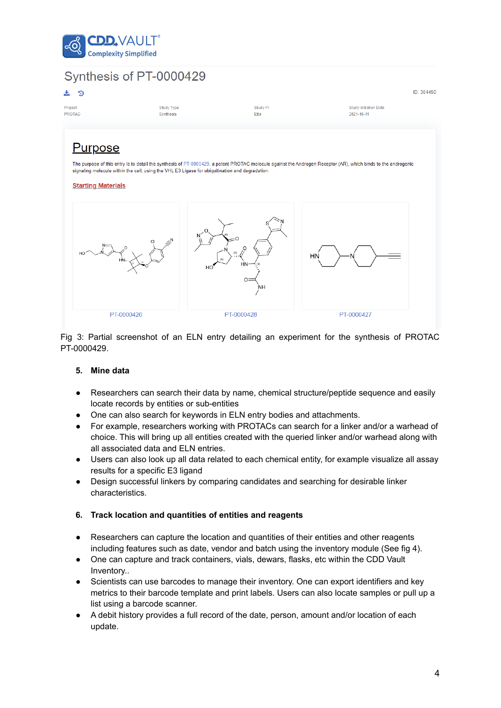



Fig 3: Partial screenshot of an ELN entry detailing an experiment for the synthesis of PROTAC PT-0000429.

## **5. Mine data**

- Researchers can search their data by name, chemical structure/peptide sequence and easily locate records by entities or sub-entities
- One can also search for keywords in ELN entry bodies and attachments.
- For example, researchers working with PROTACs can search for a linker and/or a warhead of choice. This will bring up all entities created with the queried linker and/or warhead along with all associated data and ELN entries.
- Users can also look up all data related to each chemical entity, for example visualize all assay results for a specific E3 ligand
- Design successful linkers by comparing candidates and searching for desirable linker characteristics.

#### **6. Track location and quantities of entities and reagents**

- Researchers can capture the location and quantities of their entities and other reagents including features such as date, vendor and batch using the inventory module (See fig 4).
- One can capture and track containers, vials, dewars, flasks, etc within the CDD Vault Inventory..
- Scientists can use barcodes to manage their inventory. One can export identifiers and key metrics to their barcode template and print labels. Users can also locate samples or pull up a list using a barcode scanner.
- A debit history provides a full record of the date, person, amount and/or location of each update.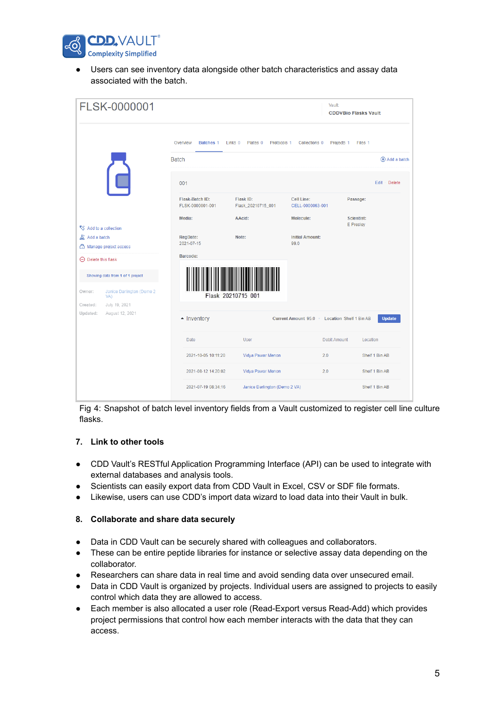

● Users can see inventory data alongside other batch characteristics and assay data associated with the batch.

|                                                                                | FLSK-0000001    |                                                                                                                                                            | Vault:<br><b>CDDVBio Flasks Vault</b> |                                |                         |  |
|--------------------------------------------------------------------------------|-----------------|------------------------------------------------------------------------------------------------------------------------------------------------------------|---------------------------------------|--------------------------------|-------------------------|--|
|                                                                                |                 | Batches 1<br>Links <sub>0</sub><br>Plates <sub>0</sub><br>Protocols 1<br>Collections 0<br>Projects 1<br>Files 1<br>Overview<br><b>Batch</b><br>Add a batch |                                       |                                |                         |  |
|                                                                                |                 |                                                                                                                                                            |                                       |                                |                         |  |
|                                                                                | Ē               | 001                                                                                                                                                        |                                       |                                | Edit · Delete           |  |
|                                                                                |                 | Flask-Batch ID:<br>FLSK-0000001-001                                                                                                                        | Flask ID:<br>Flask_20210715_001       | Cell Line:<br>CELL-0000063-001 | Passage:                |  |
| Add to a collection                                                            |                 | Media:                                                                                                                                                     | AAcid:                                | Molecule:                      | Scientist:<br>E Presley |  |
| <b>A</b> Add a batch<br>Manage project access                                  |                 | RegDate:<br>2021-07-15                                                                                                                                     | Note:                                 | <b>Initial Amount:</b><br>99.0 |                         |  |
| $\Theta$ Delete this flask                                                     |                 | Barcode:                                                                                                                                                   |                                       |                                |                         |  |
| Showing data from 1 of 1 project<br>Janice Darlington (Demo 2<br>Owner:<br>VA) |                 |                                                                                                                                                            | Flask 20210715 001                    |                                |                         |  |
| Created:                                                                       | July 19, 2021   |                                                                                                                                                            |                                       |                                |                         |  |
| Updated:                                                                       | August 12, 2021 | - Inventory<br>Current Amount 95.0 Location Shelf 1 Bin AB<br><b>Update</b>                                                                                |                                       |                                |                         |  |
|                                                                                |                 | <b>Date</b>                                                                                                                                                | <b>User</b>                           | <b>Debit Amount</b>            | Location                |  |
|                                                                                |                 | 2021-10-05 10:11:20                                                                                                                                        | Vidya Pawar Menon                     | 2.0                            | Shelf 1 Bin AB          |  |
|                                                                                |                 | 2021-08-12 14:20:02                                                                                                                                        | Vidya Pawar Menon                     | 2.0                            | Shelf 1 Bin AB          |  |
|                                                                                |                 | 2021-07-19 08:34:16                                                                                                                                        | Janice Darlington (Demo 2 VA)         |                                | Shelf 1 Bin AB          |  |

Fig 4: Snapshot of batch level inventory fields from a Vault customized to register cell line culture flasks.

## **7. Link to other tools**

- CDD Vault's RESTful Application Programming Interface (API) can be used to integrate with external databases and analysis tools.
- Scientists can easily export data from CDD Vault in Excel, CSV or SDF file formats.
- Likewise, users can use CDD's import data wizard to load data into their Vault in bulk.

# **8. Collaborate and share data securely**

- Data in CDD Vault can be securely shared with colleagues and collaborators.
- These can be entire peptide libraries for instance or selective assay data depending on the collaborator.
- Researchers can share data in real time and avoid sending data over unsecured email.
- Data in CDD Vault is organized by projects. Individual users are assigned to projects to easily control which data they are allowed to access.
- Each member is also allocated a user role (Read-Export versus Read-Add) which provides project permissions that control how each member interacts with the data that they can access.